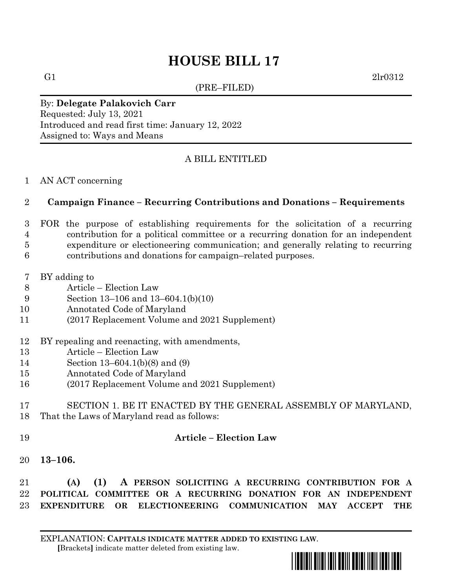# **HOUSE BILL 17**

(PRE–FILED)

G1  $2lr0312$ 

#### By: **Delegate Palakovich Carr** Requested: July 13, 2021 Introduced and read first time: January 12, 2022 Assigned to: Ways and Means

## A BILL ENTITLED

## AN ACT concerning

## **Campaign Finance – Recurring Contributions and Donations – Requirements**

- FOR the purpose of establishing requirements for the solicitation of a recurring contribution for a political committee or a recurring donation for an independent expenditure or electioneering communication; and generally relating to recurring
- contributions and donations for campaign–related purposes.
- BY adding to
- Article Election Law
- Section 13–106 and 13–604.1(b)(10)
- Annotated Code of Maryland
- (2017 Replacement Volume and 2021 Supplement)
- BY repealing and reenacting, with amendments,
- Article Election Law
- Section 13–604.1(b)(8) and (9)
- Annotated Code of Maryland
- (2017 Replacement Volume and 2021 Supplement)

## SECTION 1. BE IT ENACTED BY THE GENERAL ASSEMBLY OF MARYLAND, That the Laws of Maryland read as follows:

## **Article – Election Law**

**13–106.**

 **(A) (1) A PERSON SOLICITING A RECURRING CONTRIBUTION FOR A POLITICAL COMMITTEE OR A RECURRING DONATION FOR AN INDEPENDENT EXPENDITURE OR ELECTIONEERING COMMUNICATION MAY ACCEPT THE**

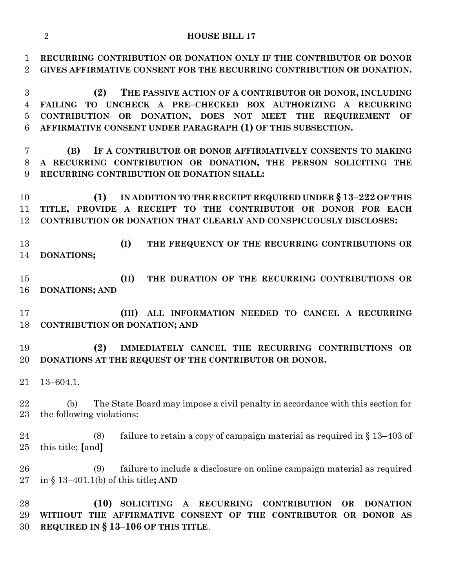**RECURRING CONTRIBUTION OR DONATION ONLY IF THE CONTRIBUTOR OR DONOR GIVES AFFIRMATIVE CONSENT FOR THE RECURRING CONTRIBUTION OR DONATION.**

 **(2) THE PASSIVE ACTION OF A CONTRIBUTOR OR DONOR, INCLUDING FAILING TO UNCHECK A PRE–CHECKED BOX AUTHORIZING A RECURRING CONTRIBUTION OR DONATION, DOES NOT MEET THE REQUIREMENT OF AFFIRMATIVE CONSENT UNDER PARAGRAPH (1) OF THIS SUBSECTION.**

 **(B) IF A CONTRIBUTOR OR DONOR AFFIRMATIVELY CONSENTS TO MAKING A RECURRING CONTRIBUTION OR DONATION, THE PERSON SOLICITING THE RECURRING CONTRIBUTION OR DONATION SHALL:**

 **(1) IN ADDITION TO THE RECEIPT REQUIRED UNDER § 13–222 OF THIS TITLE, PROVIDE A RECEIPT TO THE CONTRIBUTOR OR DONOR FOR EACH CONTRIBUTION OR DONATION THAT CLEARLY AND CONSPICUOUSLY DISCLOSES:**

 **(I) THE FREQUENCY OF THE RECURRING CONTRIBUTIONS OR DONATIONS;**

 **(II) THE DURATION OF THE RECURRING CONTRIBUTIONS OR DONATIONS; AND** 

 **(III) ALL INFORMATION NEEDED TO CANCEL A RECURRING CONTRIBUTION OR DONATION; AND** 

 **(2) IMMEDIATELY CANCEL THE RECURRING CONTRIBUTIONS OR DONATIONS AT THE REQUEST OF THE CONTRIBUTOR OR DONOR.**

13–604.1.

 (b) The State Board may impose a civil penalty in accordance with this section for the following violations:

 (8) failure to retain a copy of campaign material as required in § 13–403 of this title; **[**and**]**

 (9) failure to include a disclosure on online campaign material as required in § 13–401.1(b) of this title**; AND** 

 **(10) SOLICITING A RECURRING CONTRIBUTION OR DONATION WITHOUT THE AFFIRMATIVE CONSENT OF THE CONTRIBUTOR OR DONOR AS REQUIRED IN § 13–106 OF THIS TITLE**.